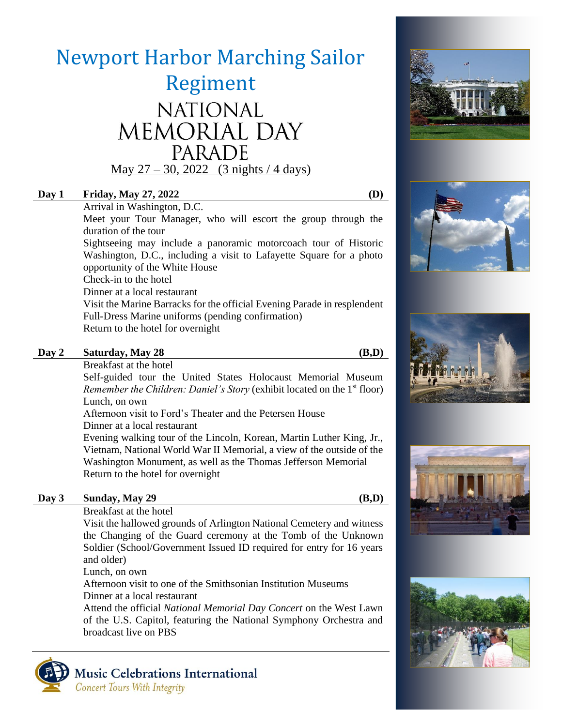# Newport Harbor Marching Sailor Regiment NATIONAL MEMORIAL DAY PARADE May  $27 - 30$ ,  $2022$  (3 nights / 4 days)

## **Day 1 Friday, May 27, 2022 (D)**

Arrival in Washington, D.C.

Meet your Tour Manager, who will escort the group through the duration of the tour

Sightseeing may include a panoramic motorcoach tour of Historic Washington, D.C., including a visit to Lafayette Square for a photo opportunity of the White House

Check-in to the hotel

Dinner at a local restaurant

Visit the Marine Barracks for the official Evening Parade in resplendent Full-Dress Marine uniforms (pending confirmation) Return to the hotel for overnight

#### **Day 2 Saturday, May 28 (B,D)**

Breakfast at the hotel

Self-guided tour the United States Holocaust Memorial Museum *Remember the Children: Daniel's Story* (exhibit located on the 1<sup>st</sup> floor) Lunch, on own

Afternoon visit to Ford's Theater and the Petersen House

Dinner at a local restaurant

Evening walking tour of the Lincoln, Korean, Martin Luther King, Jr., Vietnam, National World War II Memorial, a view of the outside of the Washington Monument, as well as the Thomas Jefferson Memorial Return to the hotel for overnight

### **Day 3 Sunday, May 29 (B,D)**

Breakfast at the hotel

Visit the hallowed grounds of Arlington National Cemetery and witness the Changing of the Guard ceremony at the Tomb of the Unknown Soldier (School/Government Issued ID required for entry for 16 years and older)

Lunch, on own

Afternoon visit to one of the Smithsonian Institution Museums Dinner at a local restaurant

Attend the official *National Memorial Day Concert* on the West Lawn of the U.S. Capitol, featuring the National Symphony Orchestra and broadcast live on PBS